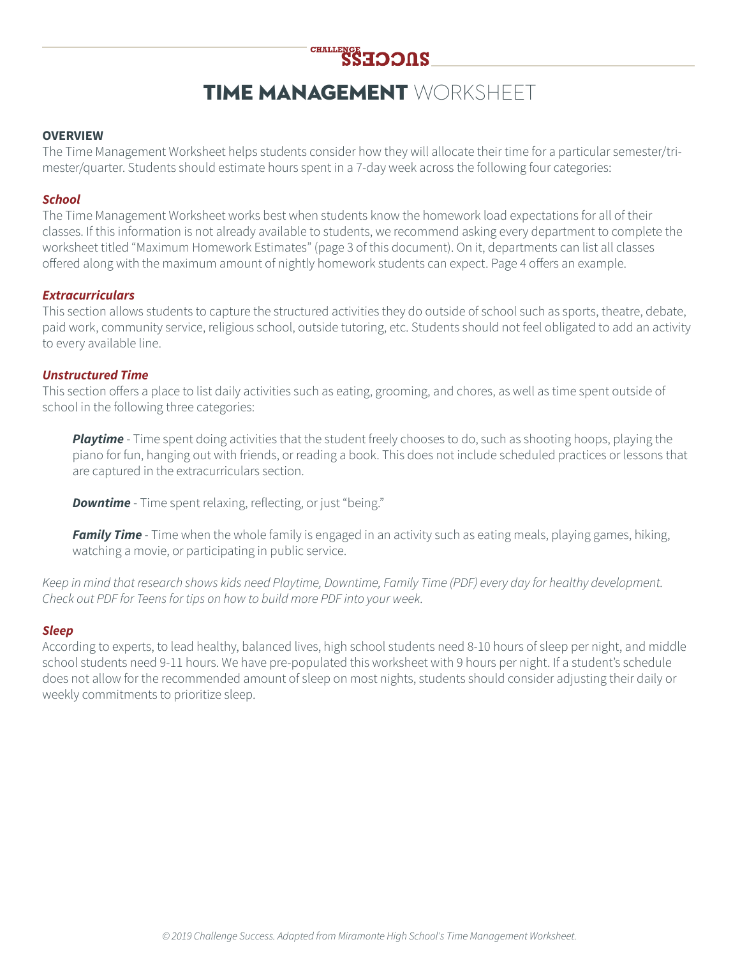

# TIME MANAGEMENT WORKSHEET

#### **OVERVIEW**

The Time Management Worksheet helps students consider how they will allocate their time for a particular semester/trimester/quarter. Students should estimate hours spent in a 7-day week across the following four categories:

### *School*

The Time Management Worksheet works best when students know the homework load expectations for all of their classes. If this information is not already available to students, we recommend asking every department to complete the worksheet titled "Maximum Homework Estimates" (page 3 of this document). On it, departments can list all classes offered along with the maximum amount of nightly homework students can expect. Page 4 offers an example.

#### *Extracurriculars*

This section allows students to capture the structured activities they do outside of school such as sports, theatre, debate, paid work, community service, religious school, outside tutoring, etc. Students should not feel obligated to add an activity to every available line.

#### *Unstructured Time*

This section offers a place to list daily activities such as eating, grooming, and chores, as well as time spent outside of school in the following three categories:

*Playtime* - Time spent doing activities that the student freely chooses to do, such as shooting hoops, playing the piano for fun, hanging out with friends, or reading a book. This does not include scheduled practices or lessons that are captured in the extracurriculars section.

**Downtime** - Time spent relaxing, reflecting, or just "being."

*Family Time* - Time when the whole family is engaged in an activity such as eating meals, playing games, hiking, watching a movie, or participating in public service.

*Keep in mind that research shows kids need Playtime, Downtime, Family Time (PDF) every day for healthy development. Check out PDF for Teens for tips on how to build more PDF into your week.*

#### *Sleep*

According to experts, to lead healthy, balanced lives, high school students need 8-10 hours of sleep per night, and middle school students need 9-11 hours. We have pre-populated this worksheet with 9 hours per night. If a student's schedule does not allow for the recommended amount of sleep on most nights, students should consider adjusting their daily or weekly commitments to prioritize sleep.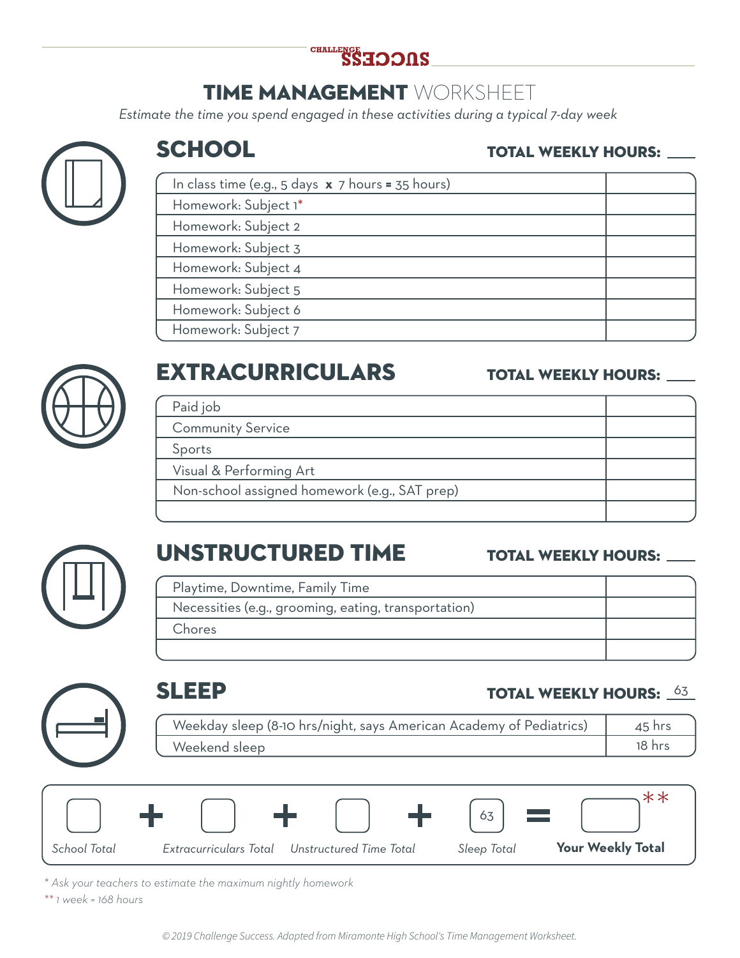

# TIME MANAGEMENT WORKSHEET

*Estimate the time you spend engaged in these activities during a typical 7-day week* 



## **SCHOOL**

### TOTAL WEEKLY HOURS:

| In class time (e.g., 5 days $x$ 7 hours = 35 hours) |  |
|-----------------------------------------------------|--|
| Homework: Subject 1*                                |  |
| Homework: Subject 2                                 |  |
| Homework: Subject 3                                 |  |
| Homework: Subject 4                                 |  |
| Homework: Subject 5                                 |  |
| Homework: Subject 6                                 |  |
| Homework: Subject 7                                 |  |



# EXTRACURRICULARS

## TOTAL WEEKLY HOURS:

| Paid job                                      |  |
|-----------------------------------------------|--|
| <b>Community Service</b>                      |  |
| Sports                                        |  |
| Visual & Performing Art                       |  |
| Non-school assigned homework (e.g., SAT prep) |  |
|                                               |  |



# UNSTRUCTURED TIME

### TOTAL WEEKLY HOURS:

| Playtime, Downtime, Family Time                      |  |
|------------------------------------------------------|--|
| Necessities (e.g., grooming, eating, transportation) |  |
| Chores                                               |  |
|                                                      |  |

### SLEEP Weekday sleep (8-10 hrs/night, says American Academy of Pediatrics) Weekend sleep TOTAL WEEKLY HOURS:  $\frac{63}{3}$ 45 hrs 18 hrs

|              |                        |                         | $\frac{1}{63}$ |                          |
|--------------|------------------------|-------------------------|----------------|--------------------------|
| School Total | Extracurriculars Total | Unstructured Time Total | Sleep Total    | <b>Your Weekly Total</b> |

*\* Ask your teachers to estimate the maximum nightly homework*

*\*\* 1 week = 168 hours*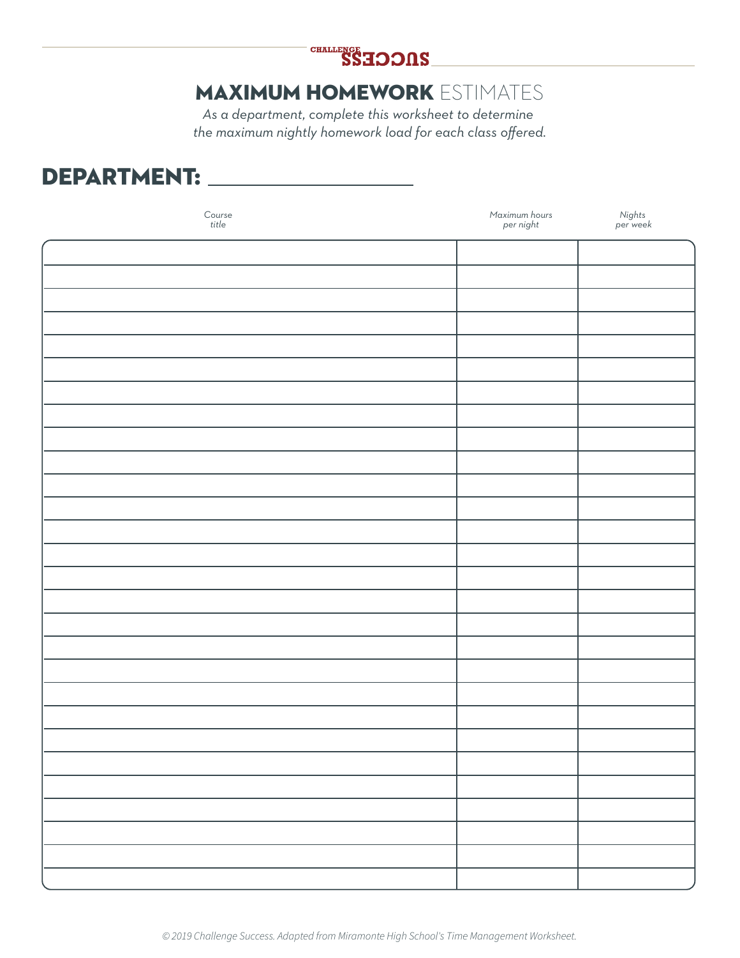

## MAXIMUM HOMEWORK ESTIMATES

*As a department, complete this worksheet to determine the maximum nightly homework load for each class offered.*

## DEPARTMENT:

| $\begin{array}{c} \text{Course} \\ \text{title} \end{array}$ | Maximum hours<br>per night | Nights<br>per week |
|--------------------------------------------------------------|----------------------------|--------------------|
|                                                              |                            |                    |
|                                                              |                            |                    |
|                                                              |                            |                    |
|                                                              |                            |                    |
|                                                              |                            |                    |
|                                                              |                            |                    |
|                                                              |                            |                    |
|                                                              |                            |                    |
|                                                              |                            |                    |
|                                                              |                            |                    |
|                                                              |                            |                    |
|                                                              |                            |                    |
|                                                              |                            |                    |
|                                                              |                            |                    |
|                                                              |                            |                    |
|                                                              |                            |                    |
|                                                              |                            |                    |
|                                                              |                            |                    |
|                                                              |                            |                    |
|                                                              |                            |                    |
|                                                              |                            |                    |
|                                                              |                            |                    |
|                                                              |                            |                    |
|                                                              |                            |                    |
|                                                              |                            |                    |